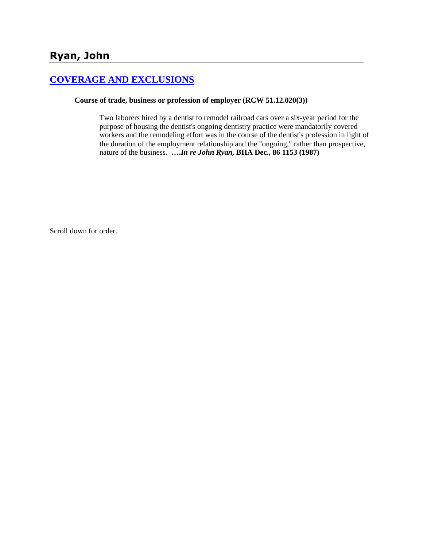# **[COVERAGE AND EXCLUSIONS](http://www.biia.wa.gov/SDSubjectIndex.html#COVERAGE_AND_EXCLUSIONS)**

### **Course of trade, business or profession of employer (RCW 51.12.020(3))**

Two laborers hired by a dentist to remodel railroad cars over a six-year period for the purpose of housing the dentist's ongoing dentistry practice were mandatorily covered workers and the remodeling effort was in the course of the dentist's profession in light of the duration of the employment relationship and the "ongoing," rather than prospective, nature of the business. **….***In re John Ryan,* **BIIA Dec., 86 1153 (1987)** 

Scroll down for order.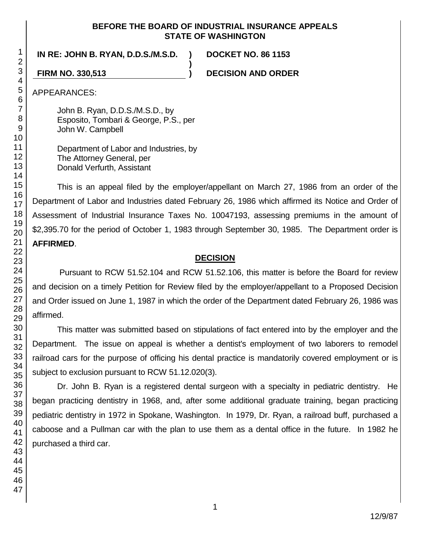### **BEFORE THE BOARD OF INDUSTRIAL INSURANCE APPEALS STATE OF WASHINGTON**

**)**

**IN RE: JOHN B. RYAN, D.D.S./M.S.D. ) DOCKET NO. 86 1153**

**FIRM NO. 330,513 ) DECISION AND ORDER**

APPEARANCES:

John B. Ryan, D.D.S./M.S.D., by Esposito, Tombari & George, P.S., per John W. Campbell

Department of Labor and Industries, by The Attorney General, per Donald Verfurth, Assistant

This is an appeal filed by the employer/appellant on March 27, 1986 from an order of the Department of Labor and Industries dated February 26, 1986 which affirmed its Notice and Order of Assessment of Industrial Insurance Taxes No. 10047193, assessing premiums in the amount of \$2,395.70 for the period of October 1, 1983 through September 30, 1985. The Department order is **AFFIRMED**.

### **DECISION**

Pursuant to RCW 51.52.104 and RCW 51.52.106, this matter is before the Board for review and decision on a timely Petition for Review filed by the employer/appellant to a Proposed Decision and Order issued on June 1, 1987 in which the order of the Department dated February 26, 1986 was affirmed.

This matter was submitted based on stipulations of fact entered into by the employer and the Department. The issue on appeal is whether a dentist's employment of two laborers to remodel railroad cars for the purpose of officing his dental practice is mandatorily covered employment or is subject to exclusion pursuant to RCW 51.12.020(3).

Dr. John B. Ryan is a registered dental surgeon with a specialty in pediatric dentistry. He began practicing dentistry in 1968, and, after some additional graduate training, began practicing pediatric dentistry in 1972 in Spokane, Washington. In 1979, Dr. Ryan, a railroad buff, purchased a caboose and a Pullman car with the plan to use them as a dental office in the future. In 1982 he purchased a third car.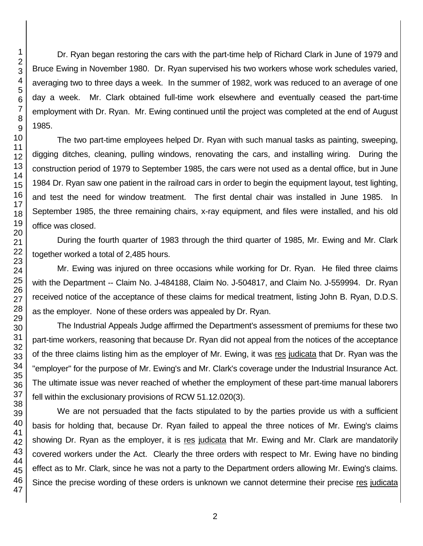Dr. Ryan began restoring the cars with the part-time help of Richard Clark in June of 1979 and Bruce Ewing in November 1980. Dr. Ryan supervised his two workers whose work schedules varied, averaging two to three days a week. In the summer of 1982, work was reduced to an average of one day a week. Mr. Clark obtained full-time work elsewhere and eventually ceased the part-time employment with Dr. Ryan. Mr. Ewing continued until the project was completed at the end of August 1985.

The two part-time employees helped Dr. Ryan with such manual tasks as painting, sweeping, digging ditches, cleaning, pulling windows, renovating the cars, and installing wiring. During the construction period of 1979 to September 1985, the cars were not used as a dental office, but in June 1984 Dr. Ryan saw one patient in the railroad cars in order to begin the equipment layout, test lighting, and test the need for window treatment. The first dental chair was installed in June 1985. In September 1985, the three remaining chairs, x-ray equipment, and files were installed, and his old office was closed.

During the fourth quarter of 1983 through the third quarter of 1985, Mr. Ewing and Mr. Clark together worked a total of 2,485 hours.

Mr. Ewing was injured on three occasions while working for Dr. Ryan. He filed three claims with the Department -- Claim No. J-484188, Claim No. J-504817, and Claim No. J-559994. Dr. Ryan received notice of the acceptance of these claims for medical treatment, listing John B. Ryan, D.D.S. as the employer. None of these orders was appealed by Dr. Ryan.

The Industrial Appeals Judge affirmed the Department's assessment of premiums for these two part-time workers, reasoning that because Dr. Ryan did not appeal from the notices of the acceptance of the three claims listing him as the employer of Mr. Ewing, it was res judicata that Dr. Ryan was the "employer" for the purpose of Mr. Ewing's and Mr. Clark's coverage under the Industrial Insurance Act. The ultimate issue was never reached of whether the employment of these part-time manual laborers fell within the exclusionary provisions of RCW 51.12.020(3).

We are not persuaded that the facts stipulated to by the parties provide us with a sufficient basis for holding that, because Dr. Ryan failed to appeal the three notices of Mr. Ewing's claims showing Dr. Ryan as the employer, it is res judicata that Mr. Ewing and Mr. Clark are mandatorily covered workers under the Act. Clearly the three orders with respect to Mr. Ewing have no binding effect as to Mr. Clark, since he was not a party to the Department orders allowing Mr. Ewing's claims. Since the precise wording of these orders is unknown we cannot determine their precise res judicata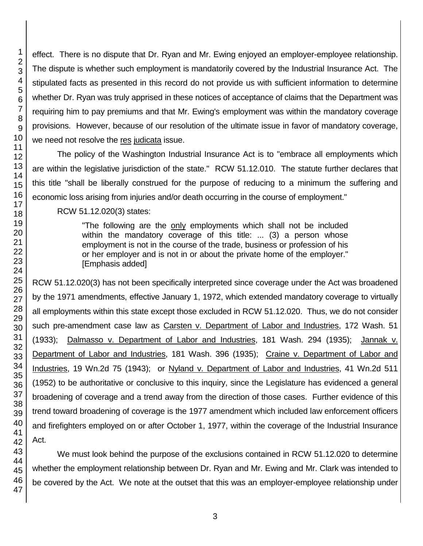effect. There is no dispute that Dr. Ryan and Mr. Ewing enjoyed an employer-employee relationship. The dispute is whether such employment is mandatorily covered by the Industrial Insurance Act. The stipulated facts as presented in this record do not provide us with sufficient information to determine whether Dr. Ryan was truly apprised in these notices of acceptance of claims that the Department was requiring him to pay premiums and that Mr. Ewing's employment was within the mandatory coverage provisions. However, because of our resolution of the ultimate issue in favor of mandatory coverage, we need not resolve the res judicata issue.

The policy of the Washington Industrial Insurance Act is to "embrace all employments which are within the legislative jurisdiction of the state." RCW 51.12.010. The statute further declares that this title "shall be liberally construed for the purpose of reducing to a minimum the suffering and economic loss arising from injuries and/or death occurring in the course of employment."

RCW 51.12.020(3) states:

"The following are the only employments which shall not be included within the mandatory coverage of this title: ... (3) a person whose employment is not in the course of the trade, business or profession of his or her employer and is not in or about the private home of the employer." [Emphasis added]

RCW 51.12.020(3) has not been specifically interpreted since coverage under the Act was broadened by the 1971 amendments, effective January 1, 1972, which extended mandatory coverage to virtually all employments within this state except those excluded in RCW 51.12.020. Thus, we do not consider such pre-amendment case law as Carsten v. Department of Labor and Industries, 172 Wash. 51 (1933); Dalmasso v. Department of Labor and Industries, 181 Wash. 294 (1935); Jannak v. Department of Labor and Industries, 181 Wash. 396 (1935); Craine v. Department of Labor and Industries, 19 Wn.2d 75 (1943); or Nyland v. Department of Labor and Industries, 41 Wn.2d 511 (1952) to be authoritative or conclusive to this inquiry, since the Legislature has evidenced a general broadening of coverage and a trend away from the direction of those cases. Further evidence of this trend toward broadening of coverage is the 1977 amendment which included law enforcement officers and firefighters employed on or after October 1, 1977, within the coverage of the Industrial Insurance Act.

We must look behind the purpose of the exclusions contained in RCW 51.12.020 to determine whether the employment relationship between Dr. Ryan and Mr. Ewing and Mr. Clark was intended to be covered by the Act. We note at the outset that this was an employer-employee relationship under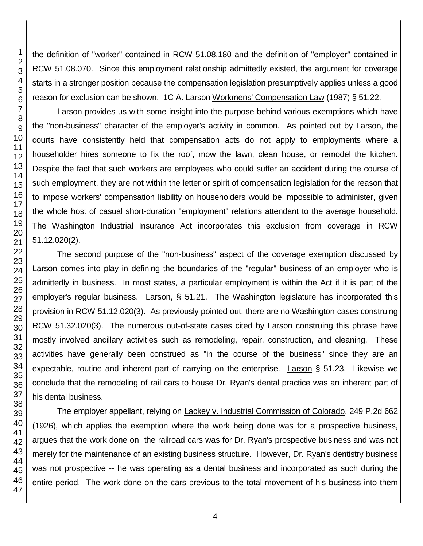the definition of "worker" contained in RCW 51.08.180 and the definition of "employer" contained in RCW 51.08.070. Since this employment relationship admittedly existed, the argument for coverage starts in a stronger position because the compensation legislation presumptively applies unless a good reason for exclusion can be shown. 1C A. Larson Workmens' Compensation Law (1987) § 51.22.

Larson provides us with some insight into the purpose behind various exemptions which have the "non-business" character of the employer's activity in common. As pointed out by Larson, the courts have consistently held that compensation acts do not apply to employments where a householder hires someone to fix the roof, mow the lawn, clean house, or remodel the kitchen. Despite the fact that such workers are employees who could suffer an accident during the course of such employment, they are not within the letter or spirit of compensation legislation for the reason that to impose workers' compensation liability on householders would be impossible to administer, given the whole host of casual short-duration "employment" relations attendant to the average household. The Washington Industrial Insurance Act incorporates this exclusion from coverage in RCW 51.12.020(2).

The second purpose of the "non-business" aspect of the coverage exemption discussed by Larson comes into play in defining the boundaries of the "regular" business of an employer who is admittedly in business. In most states, a particular employment is within the Act if it is part of the employer's regular business. Larson, § 51.21. The Washington legislature has incorporated this provision in RCW 51.12.020(3). As previously pointed out, there are no Washington cases construing RCW 51.32.020(3). The numerous out-of-state cases cited by Larson construing this phrase have mostly involved ancillary activities such as remodeling, repair, construction, and cleaning. These activities have generally been construed as "in the course of the business" since they are an expectable, routine and inherent part of carrying on the enterprise. Larson § 51.23. Likewise we conclude that the remodeling of rail cars to house Dr. Ryan's dental practice was an inherent part of his dental business.

The employer appellant, relying on Lackey v. Industrial Commission of Colorado, 249 P.2d 662 (1926), which applies the exemption where the work being done was for a prospective business, argues that the work done on the railroad cars was for Dr. Ryan's prospective business and was not merely for the maintenance of an existing business structure. However, Dr. Ryan's dentistry business was not prospective -- he was operating as a dental business and incorporated as such during the entire period. The work done on the cars previous to the total movement of his business into them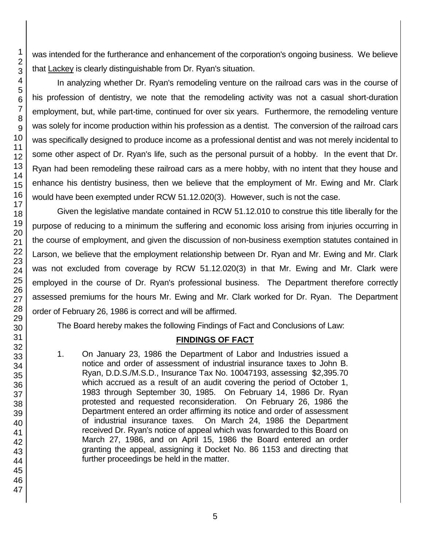was intended for the furtherance and enhancement of the corporation's ongoing business. We believe that Lackey is clearly distinguishable from Dr. Ryan's situation.

In analyzing whether Dr. Ryan's remodeling venture on the railroad cars was in the course of his profession of dentistry, we note that the remodeling activity was not a casual short-duration employment, but, while part-time, continued for over six years. Furthermore, the remodeling venture was solely for income production within his profession as a dentist. The conversion of the railroad cars was specifically designed to produce income as a professional dentist and was not merely incidental to some other aspect of Dr. Ryan's life, such as the personal pursuit of a hobby. In the event that Dr. Ryan had been remodeling these railroad cars as a mere hobby, with no intent that they house and enhance his dentistry business, then we believe that the employment of Mr. Ewing and Mr. Clark would have been exempted under RCW 51.12.020(3). However, such is not the case.

Given the legislative mandate contained in RCW 51.12.010 to construe this title liberally for the purpose of reducing to a minimum the suffering and economic loss arising from injuries occurring in the course of employment, and given the discussion of non-business exemption statutes contained in Larson, we believe that the employment relationship between Dr. Ryan and Mr. Ewing and Mr. Clark was not excluded from coverage by RCW 51.12.020(3) in that Mr. Ewing and Mr. Clark were employed in the course of Dr. Ryan's professional business. The Department therefore correctly assessed premiums for the hours Mr. Ewing and Mr. Clark worked for Dr. Ryan. The Department order of February 26, 1986 is correct and will be affirmed.

The Board hereby makes the following Findings of Fact and Conclusions of Law:

# **FINDINGS OF FACT**

1. On January 23, 1986 the Department of Labor and Industries issued a notice and order of assessment of industrial insurance taxes to John B. Ryan, D.D.S./M.S.D., Insurance Tax No. 10047193, assessing \$2,395.70 which accrued as a result of an audit covering the period of October 1, 1983 through September 30, 1985. On February 14, 1986 Dr. Ryan protested and requested reconsideration. On February 26, 1986 the Department entered an order affirming its notice and order of assessment of industrial insurance taxes. On March 24, 1986 the Department received Dr. Ryan's notice of appeal which was forwarded to this Board on March 27, 1986, and on April 15, 1986 the Board entered an order granting the appeal, assigning it Docket No. 86 1153 and directing that further proceedings be held in the matter.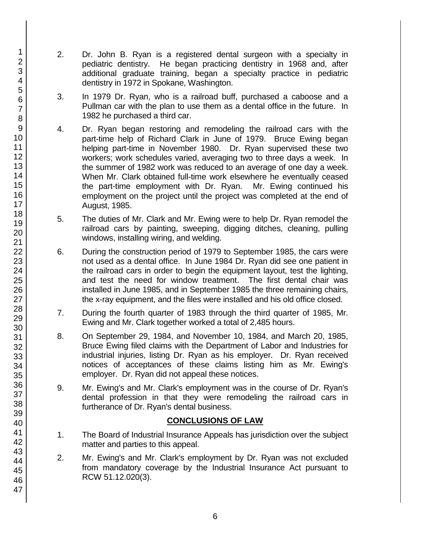- 2. Dr. John B. Ryan is a registered dental surgeon with a specialty in pediatric dentistry. He began practicing dentistry in 1968 and, after additional graduate training, began a specialty practice in pediatric dentistry in 1972 in Spokane, Washington.
- 3. In 1979 Dr. Ryan, who is a railroad buff, purchased a caboose and a Pullman car with the plan to use them as a dental office in the future. In 1982 he purchased a third car.
- 4. Dr. Ryan began restoring and remodeling the railroad cars with the part-time help of Richard Clark in June of 1979. Bruce Ewing began helping part-time in November 1980. Dr. Ryan supervised these two workers; work schedules varied, averaging two to three days a week. In the summer of 1982 work was reduced to an average of one day a week. When Mr. Clark obtained full-time work elsewhere he eventually ceased the part-time employment with Dr. Ryan. Mr. Ewing continued his employment on the project until the project was completed at the end of August, 1985.
- 5. The duties of Mr. Clark and Mr. Ewing were to help Dr. Ryan remodel the railroad cars by painting, sweeping, digging ditches, cleaning, pulling windows, installing wiring, and welding.
- 6. During the construction period of 1979 to September 1985, the cars were not used as a dental office. In June 1984 Dr. Ryan did see one patient in the railroad cars in order to begin the equipment layout, test the lighting, and test the need for window treatment. The first dental chair was installed in June 1985, and in September 1985 the three remaining chairs, the x-ray equipment, and the files were installed and his old office closed.
- 7. During the fourth quarter of 1983 through the third quarter of 1985, Mr. Ewing and Mr. Clark together worked a total of 2,485 hours.
- 8. On September 29, 1984, and November 10, 1984, and March 20, 1985, Bruce Ewing filed claims with the Department of Labor and Industries for industrial injuries, listing Dr. Ryan as his employer. Dr. Ryan received notices of acceptances of these claims listing him as Mr. Ewing's employer. Dr. Ryan did not appeal these notices.
- 9. Mr. Ewing's and Mr. Clark's employment was in the course of Dr. Ryan's dental profession in that they were remodeling the railroad cars in furtherance of Dr. Ryan's dental business.

# **CONCLUSIONS OF LAW**

- 1. The Board of Industrial Insurance Appeals has jurisdiction over the subject matter and parties to this appeal.
- 2. Mr. Ewing's and Mr. Clark's employment by Dr. Ryan was not excluded from mandatory coverage by the Industrial Insurance Act pursuant to RCW 51.12.020(3).